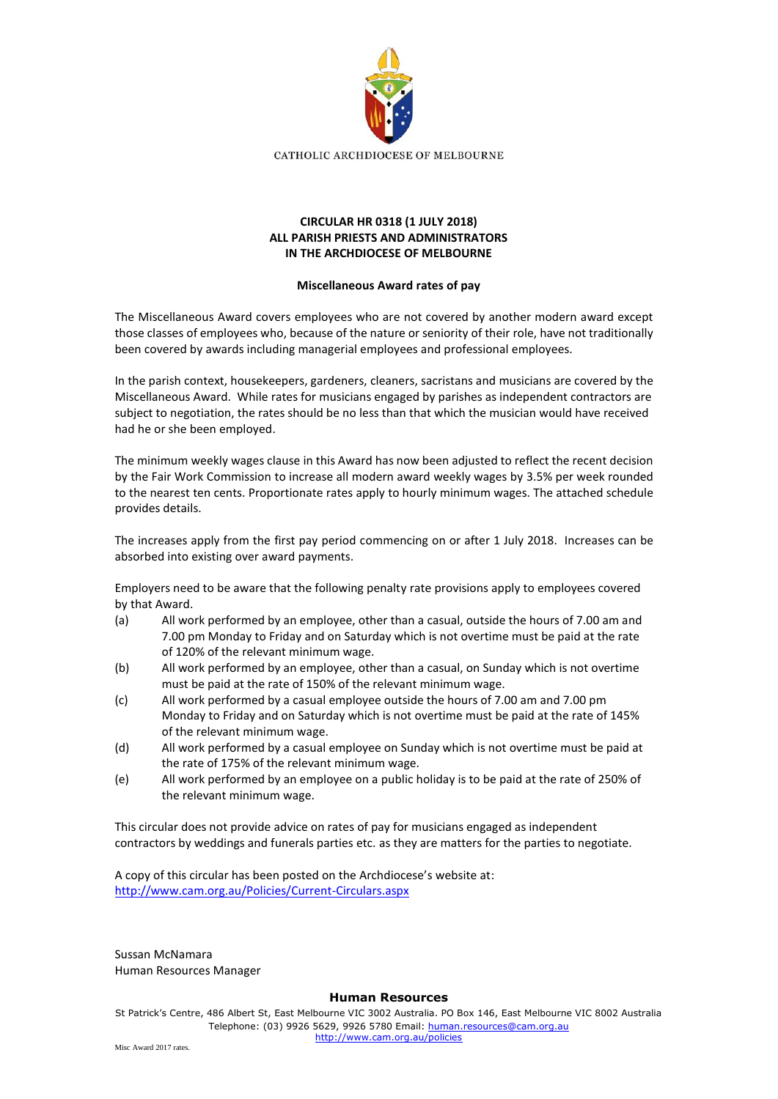

## **CIRCULAR HR 0318 (1 JULY 2018) ALL PARISH PRIESTS AND ADMINISTRATORS IN THE ARCHDIOCESE OF MELBOURNE**

## **Miscellaneous Award rates of pay**

The Miscellaneous Award covers employees who are not covered by another modern award except those classes of employees who, because of the nature or seniority of their role, have not traditionally been covered by awards including managerial employees and professional employees.

In the parish context, housekeepers, gardeners, cleaners, sacristans and musicians are covered by the Miscellaneous Award. While rates for musicians engaged by parishes as independent contractors are subject to negotiation, the rates should be no less than that which the musician would have received had he or she been employed.

The minimum weekly wages clause in this Award has now been adjusted to reflect the recent decision by the Fair Work Commission to increase all modern award weekly wages by 3.5% per week rounded to the nearest ten cents. Proportionate rates apply to hourly minimum wages. The attached schedule provides details.

The increases apply from the first pay period commencing on or after 1 July 2018. Increases can be absorbed into existing over award payments.

Employers need to be aware that the following penalty rate provisions apply to employees covered by that Award.

- (a) All work performed by an employee, other than a casual, outside the hours of 7.00 am and 7.00 pm Monday to Friday and on Saturday which is not overtime must be paid at the rate of 120% of the relevant minimum wage.
- (b) All work performed by an employee, other than a casual, on Sunday which is not overtime must be paid at the rate of 150% of the relevant minimum wage.
- (c) All work performed by a casual employee outside the hours of 7.00 am and 7.00 pm Monday to Friday and on Saturday which is not overtime must be paid at the rate of 145% of the relevant minimum wage.
- (d) All work performed by a casual employee on Sunday which is not overtime must be paid at the rate of 175% of the relevant minimum wage.
- (e) All work performed by an employee on a public holiday is to be paid at the rate of 250% of the relevant minimum wage.

This circular does not provide advice on rates of pay for musicians engaged as independent contractors by weddings and funerals parties etc. as they are matters for the parties to negotiate.

A copy of this circular has been posted on the Archdiocese's website at: <http://www.cam.org.au/Policies/Current-Circulars.aspx>

Sussan McNamara Human Resources Manager

## **Human Resources**

St Patrick's Centre, 486 Albert St, East Melbourne VIC 3002 Australia. PO Box 146, East Melbourne VIC 8002 Australia Telephone: (03) 9926 5629, 9926 5780 Email: [human.resources@cam.org.au](mailto:human.resources@cam.org.au) <http://www.cam.org.au/policies>